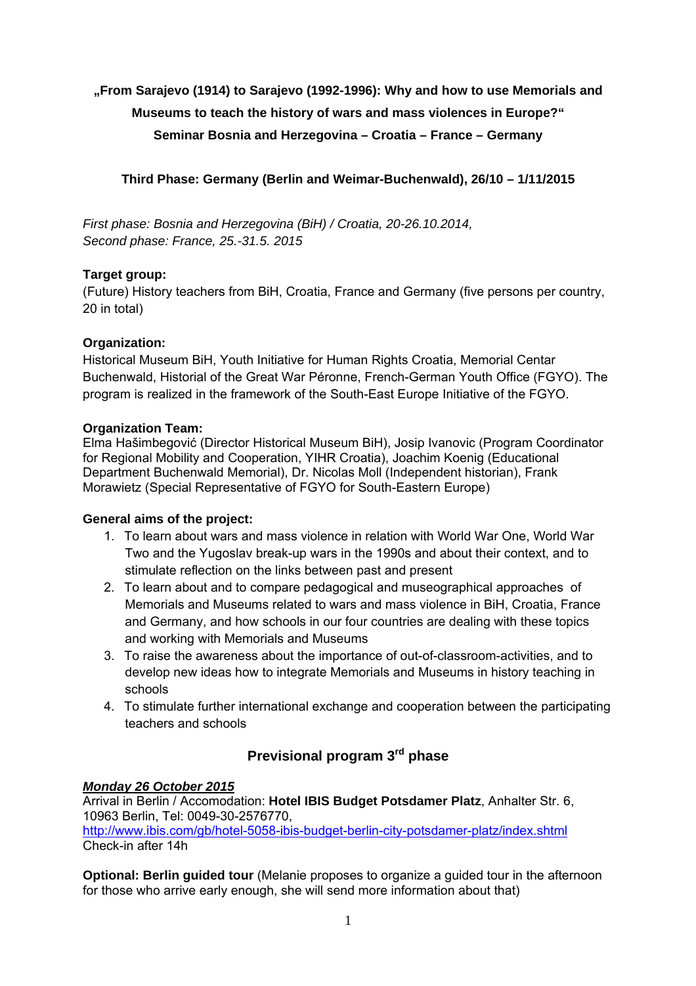# **"From Sarajevo (1914) to Sarajevo (1992-1996): Why and how to use Memorials and Museums to teach the history of wars and mass violences in Europe?" Seminar Bosnia and Herzegovina – Croatia – France – Germany**

## **Third Phase: Germany (Berlin and Weimar-Buchenwald), 26/10 – 1/11/2015**

*First phase: Bosnia and Herzegovina (BiH) / Croatia, 20-26.10.2014, Second phase: France, 25.-31.5. 2015* 

## **Target group:**

(Future) History teachers from BiH, Croatia, France and Germany (five persons per country, 20 in total)

## **Organization:**

Historical Museum BiH, Youth Initiative for Human Rights Croatia, Memorial Centar Buchenwald, Historial of the Great War Péronne, French-German Youth Office (FGYO). The program is realized in the framework of the South-East Europe Initiative of the FGYO.

## **Organization Team:**

Elma Hašimbegović (Director Historical Museum BiH), Josip Ivanovic (Program Coordinator for Regional Mobility and Cooperation, YIHR Croatia), Joachim Koenig (Educational Department Buchenwald Memorial), Dr. Nicolas Moll (Independent historian), Frank Morawietz (Special Representative of FGYO for South-Eastern Europe)

## **General aims of the project:**

- 1. To learn about wars and mass violence in relation with World War One, World War Two and the Yugoslav break-up wars in the 1990s and about their context, and to stimulate reflection on the links between past and present
- 2. To learn about and to compare pedagogical and museographical approaches of Memorials and Museums related to wars and mass violence in BiH, Croatia, France and Germany, and how schools in our four countries are dealing with these topics and working with Memorials and Museums
- 3. To raise the awareness about the importance of out-of-classroom-activities, and to develop new ideas how to integrate Memorials and Museums in history teaching in schools
- 4. To stimulate further international exchange and cooperation between the participating teachers and schools

## **Previsional program 3rd phase**

## *Monday 26 October 2015*

Arrival in Berlin / Accomodation: **Hotel IBIS Budget Potsdamer Platz**, Anhalter Str. 6, 10963 Berlin, Tel: 0049-30-2576770, http://www.ibis.com/gb/hotel-5058-ibis-budget-berlin-city-potsdamer-platz/index.shtml Check-in after 14h

**Optional: Berlin guided tour** (Melanie proposes to organize a guided tour in the afternoon for those who arrive early enough, she will send more information about that)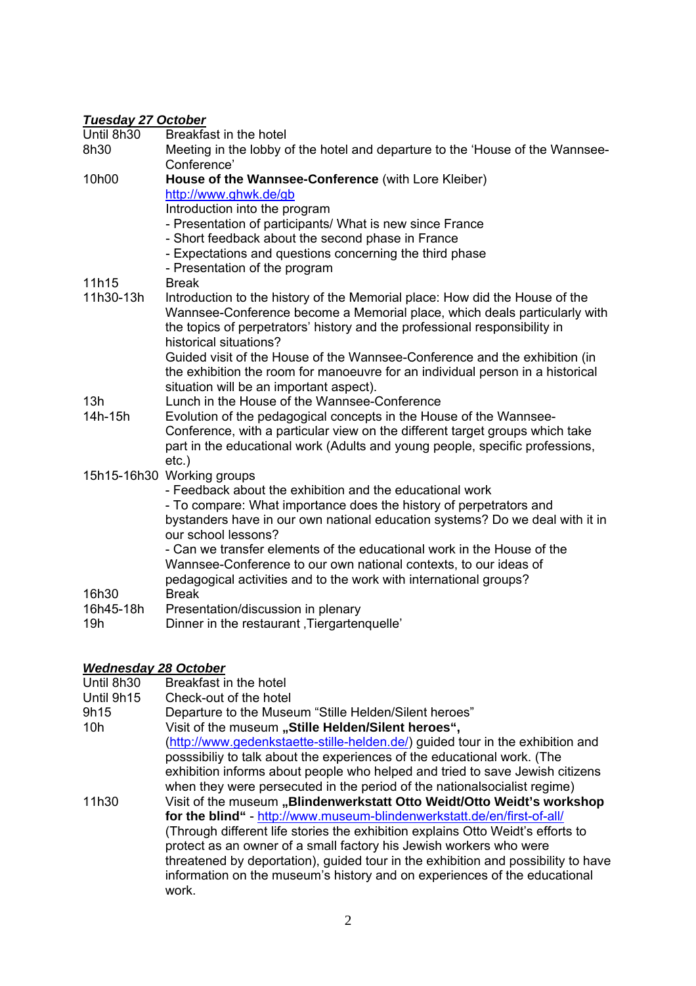#### *Tuesday 27 October*

8h30 Meeting in the lobby of the hotel and departure to the 'House of the Wannsee-Conference'

### 10h00 **House of the Wannsee-Conference** (with Lore Kleiber) http://www.ghwk.de/gb

Introduction into the program

- Presentation of participants/ What is new since France
- Short feedback about the second phase in France
- Expectations and questions concerning the third phase
- Presentation of the program

11h15 Break

11h30-13h Introduction to the history of the Memorial place: How did the House of the Wannsee-Conference become a Memorial place, which deals particularly with the topics of perpetrators' history and the professional responsibility in historical situations? Guided visit of the House of the Wannsee-Conference and the exhibition (in

the exhibition the room for manoeuvre for an individual person in a historical situation will be an important aspect).

- 13h Lunch in the House of the Wannsee-Conference<br>14h-15h Evolution of the pedagogical concepts in the Hou
- Evolution of the pedagogical concepts in the House of the Wannsee-Conference, with a particular view on the different target groups which take part in the educational work (Adults and young people, specific professions, etc.)
- 15h15-16h30 Working groups

- Feedback about the exhibition and the educational work

- To compare: What importance does the history of perpetrators and bystanders have in our own national education systems? Do we deal with it in our school lessons?

- Can we transfer elements of the educational work in the House of the Wannsee-Conference to our own national contexts, to our ideas of pedagogical activities and to the work with international groups?

- 16h30 Break
- 16h45-18h Presentation/discussion in plenary
- 19h Dinner in the restaurant Tiergartenquelle'

## *Wednesday 28 October*

- Until 8h30 Breakfast in the hotel Until 9h15 Check-out of the hotel
- 9h15 Departure to the Museum "Stille Helden/Silent heroes"
- 10h Visit of the museum **"Stille Helden/Silent heroes",** (http://www.gedenkstaette-stille-helden.de/) guided tour in the exhibition and posssibiliy to talk about the experiences of the educational work. (The exhibition informs about people who helped and tried to save Jewish citizens when they were persecuted in the period of the nationalsocialist regime) 11h30 Visit of the museum **"Blindenwerkstatt Otto Weidt/Otto Weidt's workshop for the blind"** - http://www.museum-blindenwerkstatt.de/en/first-of-all/ (Through different life stories the exhibition explains Otto Weidt's efforts to protect as an owner of a small factory his Jewish workers who were

threatened by deportation), guided tour in the exhibition and possibility to have information on the museum's history and on experiences of the educational work.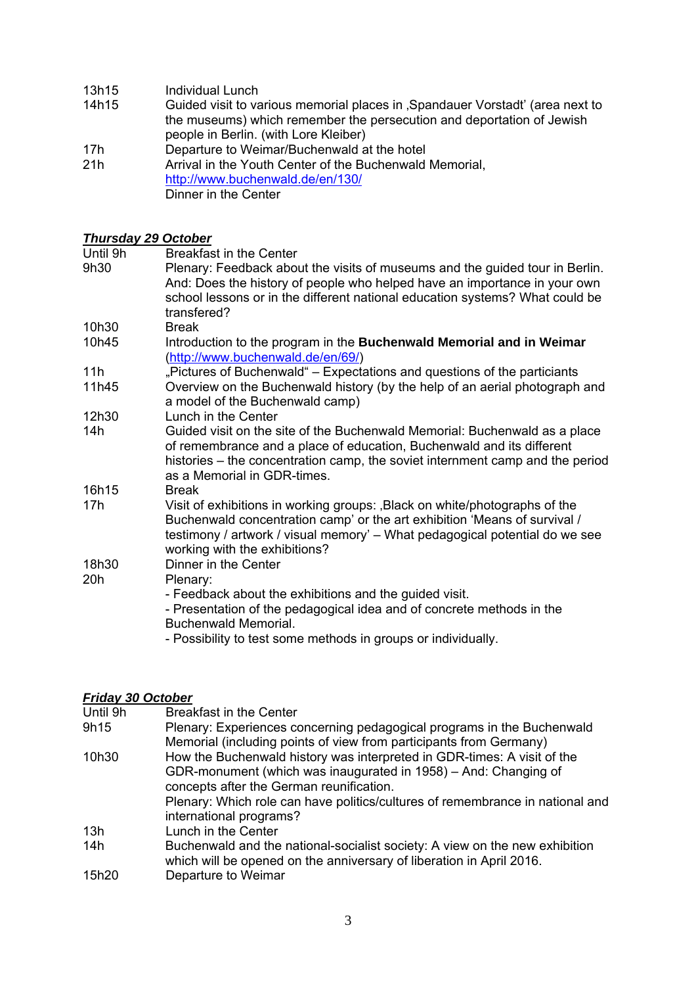- 13h15 Individual Lunch
- 14h15 Guided visit to various memorial places in 'Spandauer Vorstadt' (area next to the museums) which remember the persecution and deportation of Jewish people in Berlin. (with Lore Kleiber)
- 17h Departure to Weimar/Buchenwald at the hotel
- 21h Arrival in the Youth Center of the Buchenwald Memorial, http://www.buchenwald.de/en/130/ Dinner in the Center

#### *Thursday 29 October*

Until 9h Breakfast in the Center

- 9h30 Plenary: Feedback about the visits of museums and the guided tour in Berlin. And: Does the history of people who helped have an importance in your own school lessons or in the different national education systems? What could be transfered? 10h30 Break 10h45 Introduction to the program in the **Buchenwald Memorial and in Weimar** (http://www.buchenwald.de/en/69/) 11h "Pictures of Buchenwald" – Expectations and questions of the particiants 11h45 Overview on the Buchenwald history (by the help of an aerial photograph and a model of the Buchenwald camp) 12h30 Lunch in the Center 14h Guided visit on the site of the Buchenwald Memorial: Buchenwald as a place of remembrance and a place of education, Buchenwald and its different histories – the concentration camp, the soviet internment camp and the period as a Memorial in GDR-times. 16h15 Break
- 17h Visit of exhibitions in working groups: Black on white/photographs of the Buchenwald concentration camp' or the art exhibition 'Means of survival / testimony / artwork / visual memory' – What pedagogical potential do we see working with the exhibitions?
- 18h30 Dinner in the Center

#### 20h Plenary:

- Feedback about the exhibitions and the guided visit.
- Presentation of the pedagogical idea and of concrete methods in the Buchenwald Memorial.
- Possibility to test some methods in groups or individually.

## *Friday 30 October*

| Until 9h | <b>Breakfast in the Center</b>                                                |
|----------|-------------------------------------------------------------------------------|
| 9h15     | Plenary: Experiences concerning pedagogical programs in the Buchenwald        |
|          | Memorial (including points of view from participants from Germany)            |
| 10h30    | How the Buchenwald history was interpreted in GDR-times: A visit of the       |
|          | GDR-monument (which was inaugurated in 1958) – And: Changing of               |
|          | concepts after the German reunification.                                      |
|          | Plenary: Which role can have politics/cultures of remembrance in national and |
|          | international programs?                                                       |
| 13h      | Lunch in the Center                                                           |
| 14h      | Buchenwald and the national-socialist society: A view on the new exhibition   |
|          | which will be opened on the anniversary of liberation in April 2016.          |
| 15h20    | Departure to Weimar                                                           |